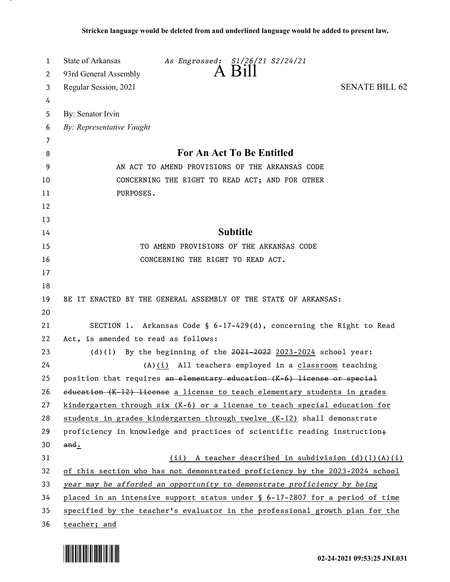| 1  | State of Arkansas<br>As Engrossed: S1/26/21 S2/24/21                         |
|----|------------------------------------------------------------------------------|
| 2  | $\overline{A}$ $\overline{B}$ 111<br>93rd General Assembly                   |
| 3  | <b>SENATE BILL 62</b><br>Regular Session, 2021                               |
| 4  |                                                                              |
| 5  | By: Senator Irvin                                                            |
| 6  | By: Representative Vaught                                                    |
| 7  |                                                                              |
| 8  | For An Act To Be Entitled                                                    |
| 9  | AN ACT TO AMEND PROVISIONS OF THE ARKANSAS CODE                              |
| 10 | CONCERNING THE RIGHT TO READ ACT; AND FOR OTHER                              |
| 11 | PURPOSES.                                                                    |
| 12 |                                                                              |
| 13 |                                                                              |
| 14 | <b>Subtitle</b>                                                              |
| 15 | TO AMEND PROVISIONS OF THE ARKANSAS CODE                                     |
| 16 | CONCERNING THE RIGHT TO READ ACT.                                            |
| 17 |                                                                              |
| 18 |                                                                              |
| 19 | BE IT ENACTED BY THE GENERAL ASSEMBLY OF THE STATE OF ARKANSAS:              |
| 20 |                                                                              |
| 21 | SECTION 1. Arkansas Code § 6-17-429(d), concerning the Right to Read         |
| 22 | Act, is amended to read as follows:                                          |
| 23 | (d)(1) By the beginning of the $2021-2022$ 2023-2024 school year:            |
| 24 | $(A)$ (i) All teachers employed in a classroom teaching                      |
| 25 | position that requires an elementary education (K-6) license or special      |
| 26 | education (K-12) license a license to teach elementary students in grades    |
| 27 | kindergarten through six (K-6) or a license to teach special education for   |
| 28 | students in grades kindergarten through twelve (K-12) shall demonstrate      |
| 29 | proficiency in knowledge and practices of scientific reading instruction+    |
| 30 | and.                                                                         |
| 31 | (ii) A teacher described in subdivision (d)(l)(A)(i)                         |
| 32 | of this section who has not demonstrated proficiency by the 2023-2024 school |
| 33 | year may be afforded an opportunity to demonstrate proficiency by being      |
| 34 | placed in an intensive support status under § 6-17-2807 for a period of time |
| 35 | specified by the teacher's evaluator in the professional growth plan for the |
| 36 | teacher; and                                                                 |